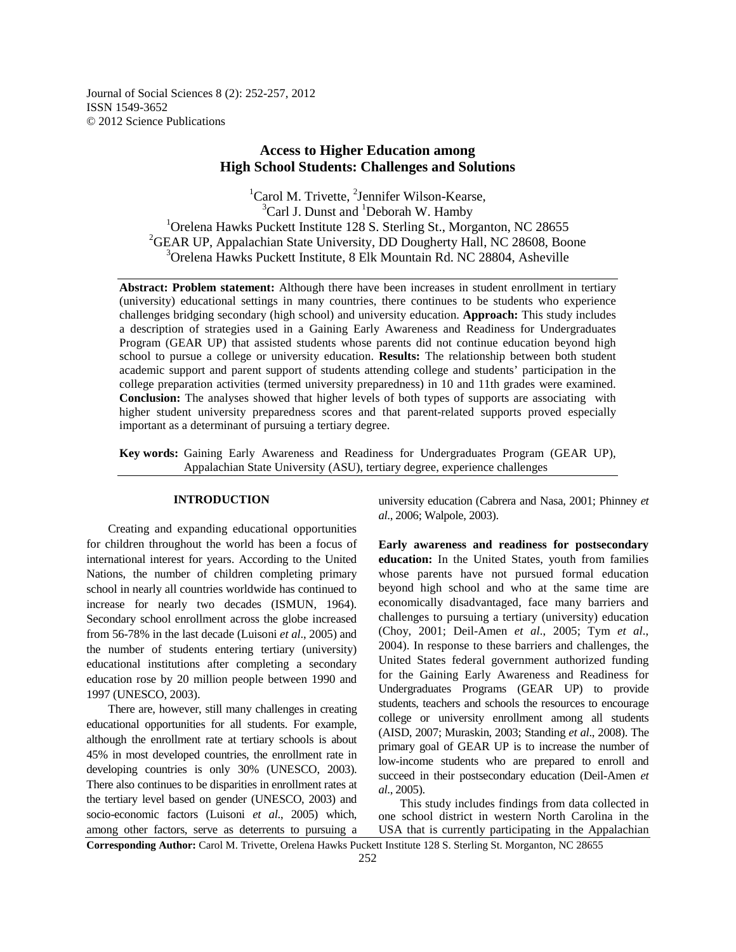Journal of Social Sciences 8 (2): 252-257, 2012 ISSN 1549-3652 © 2012 Science Publications

# **Access to Higher Education among High School Students: Challenges and Solutions**

 ${}^{1}$ Carol M. Trivette,  ${}^{2}$ Jennifer Wilson-Kearse,  $3$ Carl J. Dunst and  $1$ Deborah W. Hamby  $1$ Orelena Hawks Puckett Institute 128 S. Sterling St., Morganton, NC 28655  ${}^{2}$ GEAR UP, Appalachian State University, DD Dougherty Hall, NC 28608, Boone <sup>3</sup>Orelena Hawks Puckett Institute, 8 Elk Mountain Rd. NC 28804, Asheville

**Abstract: Problem statement:** Although there have been increases in student enrollment in tertiary (university) educational settings in many countries, there continues to be students who experience challenges bridging secondary (high school) and university education. **Approach:** This study includes a description of strategies used in a Gaining Early Awareness and Readiness for Undergraduates Program (GEAR UP) that assisted students whose parents did not continue education beyond high school to pursue a college or university education. **Results:** The relationship between both student academic support and parent support of students attending college and students' participation in the college preparation activities (termed university preparedness) in 10 and 11th grades were examined. **Conclusion:** The analyses showed that higher levels of both types of supports are associating with higher student university preparedness scores and that parent-related supports proved especially important as a determinant of pursuing a tertiary degree.

**Key words:** Gaining Early Awareness and Readiness for Undergraduates Program (GEAR UP), Appalachian State University (ASU), tertiary degree, experience challenges

## **INTRODUCTION**

 Creating and expanding educational opportunities for children throughout the world has been a focus of international interest for years. According to the United Nations, the number of children completing primary school in nearly all countries worldwide has continued to increase for nearly two decades (ISMUN, 1964). Secondary school enrollment across the globe increased from 56-78% in the last decade (Luisoni *et al*., 2005) and the number of students entering tertiary (university) educational institutions after completing a secondary education rose by 20 million people between 1990 and 1997 (UNESCO, 2003).

 There are, however, still many challenges in creating educational opportunities for all students. For example, although the enrollment rate at tertiary schools is about 45% in most developed countries, the enrollment rate in developing countries is only 30% (UNESCO, 2003). There also continues to be disparities in enrollment rates at the tertiary level based on gender (UNESCO, 2003) and socio-economic factors (Luisoni *et al*., 2005) which, among other factors, serve as deterrents to pursuing a

university education (Cabrera and Nasa, 2001; Phinney *et al*., 2006; Walpole, 2003).

**Early awareness and readiness for postsecondary education:** In the United States, youth from families whose parents have not pursued formal education beyond high school and who at the same time are economically disadvantaged, face many barriers and challenges to pursuing a tertiary (university) education (Choy, 2001; Deil-Amen *et al*., 2005; Tym *et al*., 2004). In response to these barriers and challenges, the United States federal government authorized funding for the Gaining Early Awareness and Readiness for Undergraduates Programs (GEAR UP) to provide students, teachers and schools the resources to encourage college or university enrollment among all students (AISD, 2007; Muraskin, 2003; Standing *et al*., 2008). The primary goal of GEAR UP is to increase the number of low-income students who are prepared to enroll and succeed in their postsecondary education (Deil-Amen *et al*., 2005).

 This study includes findings from data collected in one school district in western North Carolina in the USA that is currently participating in the Appalachian

**Corresponding Author:** Carol M. Trivette, Orelena Hawks Puckett Institute 128 S. Sterling St. Morganton, NC 28655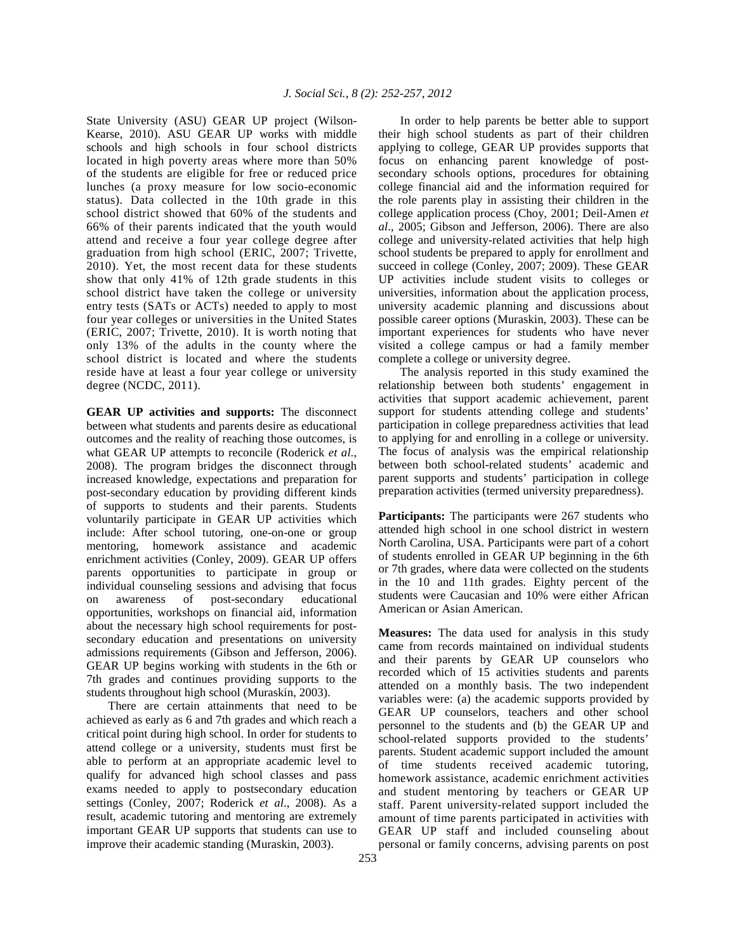State University (ASU) GEAR UP project (Wilson-Kearse, 2010). ASU GEAR UP works with middle schools and high schools in four school districts located in high poverty areas where more than 50% of the students are eligible for free or reduced price lunches (a proxy measure for low socio-economic status). Data collected in the 10th grade in this school district showed that 60% of the students and 66% of their parents indicated that the youth would attend and receive a four year college degree after graduation from high school (ERIC, 2007; Trivette, 2010). Yet, the most recent data for these students show that only 41% of 12th grade students in this school district have taken the college or university entry tests (SATs or ACTs) needed to apply to most four year colleges or universities in the United States (ERIC, 2007; Trivette, 2010). It is worth noting that only 13% of the adults in the county where the school district is located and where the students reside have at least a four year college or university degree (NCDC, 2011).

**GEAR UP activities and supports:** The disconnect between what students and parents desire as educational outcomes and the reality of reaching those outcomes, is what GEAR UP attempts to reconcile (Roderick *et al*., 2008). The program bridges the disconnect through increased knowledge, expectations and preparation for post-secondary education by providing different kinds of supports to students and their parents. Students voluntarily participate in GEAR UP activities which include: After school tutoring, one-on-one or group mentoring, homework assistance and academic enrichment activities (Conley, 2009). GEAR UP offers parents opportunities to participate in group or individual counseling sessions and advising that focus on awareness of post-secondary educational opportunities, workshops on financial aid, information about the necessary high school requirements for postsecondary education and presentations on university admissions requirements (Gibson and Jefferson, 2006). GEAR UP begins working with students in the 6th or 7th grades and continues providing supports to the students throughout high school (Muraskin, 2003).

 There are certain attainments that need to be achieved as early as 6 and 7th grades and which reach a critical point during high school. In order for students to attend college or a university, students must first be able to perform at an appropriate academic level to qualify for advanced high school classes and pass exams needed to apply to postsecondary education settings (Conley, 2007; Roderick *et al*., 2008). As a result, academic tutoring and mentoring are extremely important GEAR UP supports that students can use to improve their academic standing (Muraskin, 2003).

 In order to help parents be better able to support their high school students as part of their children applying to college, GEAR UP provides supports that focus on enhancing parent knowledge of postsecondary schools options, procedures for obtaining college financial aid and the information required for the role parents play in assisting their children in the college application process (Choy, 2001; Deil-Amen *et al*., 2005; Gibson and Jefferson, 2006). There are also college and university-related activities that help high school students be prepared to apply for enrollment and succeed in college (Conley, 2007; 2009). These GEAR UP activities include student visits to colleges or universities, information about the application process, university academic planning and discussions about possible career options (Muraskin, 2003). These can be important experiences for students who have never visited a college campus or had a family member complete a college or university degree.

 The analysis reported in this study examined the relationship between both students' engagement in activities that support academic achievement, parent support for students attending college and students' participation in college preparedness activities that lead to applying for and enrolling in a college or university. The focus of analysis was the empirical relationship between both school-related students' academic and parent supports and students' participation in college preparation activities (termed university preparedness).

**Participants:** The participants were 267 students who attended high school in one school district in western North Carolina, USA. Participants were part of a cohort of students enrolled in GEAR UP beginning in the 6th or 7th grades, where data were collected on the students in the 10 and 11th grades. Eighty percent of the students were Caucasian and 10% were either African American or Asian American.

**Measures:** The data used for analysis in this study came from records maintained on individual students and their parents by GEAR UP counselors who recorded which of 15 activities students and parents attended on a monthly basis. The two independent variables were: (a) the academic supports provided by GEAR UP counselors, teachers and other school personnel to the students and (b) the GEAR UP and school-related supports provided to the students' parents. Student academic support included the amount of time students received academic tutoring, homework assistance, academic enrichment activities and student mentoring by teachers or GEAR UP staff. Parent university-related support included the amount of time parents participated in activities with GEAR UP staff and included counseling about personal or family concerns, advising parents on post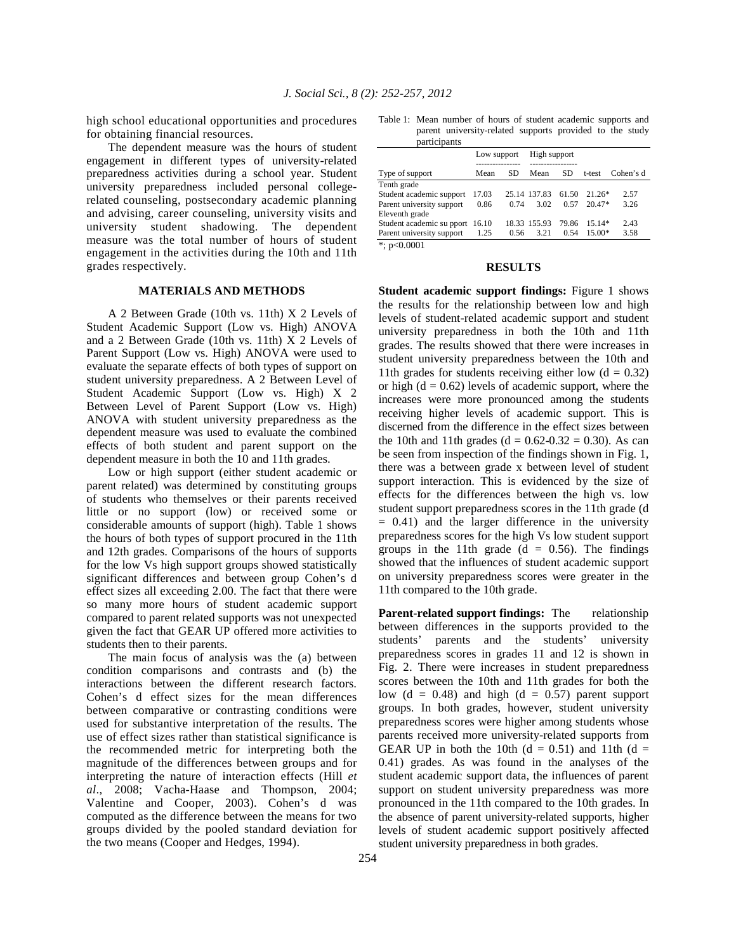high school educational opportunities and procedures for obtaining financial resources.

 The dependent measure was the hours of student engagement in different types of university-related preparedness activities during a school year. Student university preparedness included personal collegerelated counseling, postsecondary academic planning and advising, career counseling, university visits and university student shadowing. The dependent measure was the total number of hours of student engagement in the activities during the 10th and 11th grades respectively.

### **MATERIALS AND METHODS**

 A 2 Between Grade (10th vs. 11th) X 2 Levels of Student Academic Support (Low vs. High) ANOVA and a 2 Between Grade (10th vs. 11th) X 2 Levels of Parent Support (Low vs. High) ANOVA were used to evaluate the separate effects of both types of support on student university preparedness. A 2 Between Level of Student Academic Support (Low vs. High) X 2 Between Level of Parent Support (Low vs. High) ANOVA with student university preparedness as the dependent measure was used to evaluate the combined effects of both student and parent support on the dependent measure in both the 10 and 11th grades.

 Low or high support (either student academic or parent related) was determined by constituting groups of students who themselves or their parents received little or no support (low) or received some or considerable amounts of support (high). Table 1 shows the hours of both types of support procured in the 11th and 12th grades. Comparisons of the hours of supports for the low Vs high support groups showed statistically significant differences and between group Cohen's d effect sizes all exceeding 2.00. The fact that there were so many more hours of student academic support compared to parent related supports was not unexpected given the fact that GEAR UP offered more activities to students then to their parents.

 The main focus of analysis was the (a) between condition comparisons and contrasts and (b) the interactions between the different research factors. Cohen's d effect sizes for the mean differences between comparative or contrasting conditions were used for substantive interpretation of the results. The use of effect sizes rather than statistical significance is the recommended metric for interpreting both the magnitude of the differences between groups and for interpreting the nature of interaction effects (Hill *et al*., 2008; Vacha-Haase and Thompson, 2004; Valentine and Cooper, 2003). Cohen's d was computed as the difference between the means for two groups divided by the pooled standard deviation for the two means (Cooper and Hedges, 1994).

Table 1: Mean number of hours of student academic supports and parent university-related supports provided to the study participants

| Dai tictdants             |             |      |              |           |          |           |
|---------------------------|-------------|------|--------------|-----------|----------|-----------|
|                           | Low support |      | High support |           |          |           |
| Type of support           | Mean        | SD   | Mean         | <b>SD</b> | t-test   | Cohen's d |
| Tenth grade               |             |      |              |           |          |           |
| Student academic support  | 17.03       |      | 25.14 137.83 | 61.50     | $21.26*$ | 2.57      |
| Parent university support | 0.86        | 0.74 | 3.02         | 0.57      | $20.47*$ | 3.26      |
| Eleventh grade            |             |      |              |           |          |           |
| Student academic su pport | 16.10       |      | 18.33 155.93 | 79.86     | $15.14*$ | 2.43      |
| Parent university support | 1.25        | 0.56 | 3.21         | 0.54      | $15.00*$ | 3.58      |
| *: $p<0.0001$             |             |      |              |           |          |           |

#### **RESULTS**

**Student academic support findings:** Figure 1 shows the results for the relationship between low and high levels of student-related academic support and student university preparedness in both the 10th and 11th grades. The results showed that there were increases in student university preparedness between the 10th and 11th grades for students receiving either low  $(d = 0.32)$ or high  $(d = 0.62)$  levels of academic support, where the increases were more pronounced among the students receiving higher levels of academic support. This is discerned from the difference in the effect sizes between the 10th and 11th grades (d =  $0.62 - 0.32 = 0.30$ ). As can be seen from inspection of the findings shown in Fig. 1, there was a between grade x between level of student support interaction. This is evidenced by the size of effects for the differences between the high vs. low student support preparedness scores in the 11th grade (d  $= 0.41$ ) and the larger difference in the university preparedness scores for the high Vs low student support groups in the 11th grade  $(d = 0.56)$ . The findings showed that the influences of student academic support on university preparedness scores were greater in the 11th compared to the 10th grade.

**Parent-related support findings:** The relationship between differences in the supports provided to the students' parents and the students' university preparedness scores in grades 11 and 12 is shown in Fig. 2. There were increases in student preparedness scores between the 10th and 11th grades for both the low  $(d = 0.48)$  and high  $(d = 0.57)$  parent support groups. In both grades, however, student university preparedness scores were higher among students whose parents received more university-related supports from GEAR UP in both the 10th  $(d = 0.51)$  and 11th  $(d =$ 0.41) grades. As was found in the analyses of the student academic support data, the influences of parent support on student university preparedness was more pronounced in the 11th compared to the 10th grades. In the absence of parent university-related supports, higher levels of student academic support positively affected student university preparedness in both grades.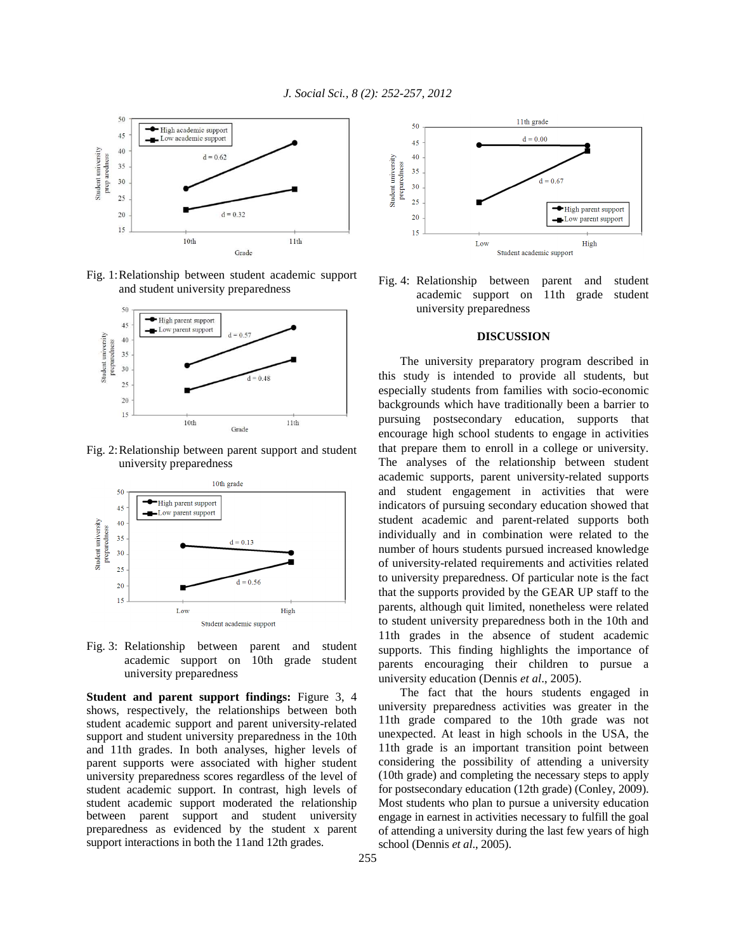

Fig. 1: Relationship between student academic support and student university preparedness



Fig. 2: Relationship between parent support and student university preparedness



Fig. 3: Relationship between parent and student academic support on 10th grade student university preparedness

**Student and parent support findings:** Figure 3, 4 shows, respectively, the relationships between both student academic support and parent university-related support and student university preparedness in the 10th and 11th grades. In both analyses, higher levels of parent supports were associated with higher student university preparedness scores regardless of the level of student academic support. In contrast, high levels of student academic support moderated the relationship between parent support and student university preparedness as evidenced by the student x parent support interactions in both the 11and 12th grades.



Fig. 4: Relationship between parent and student academic support on 11th grade student university preparedness

### **DISCUSSION**

 The university preparatory program described in this study is intended to provide all students, but especially students from families with socio-economic backgrounds which have traditionally been a barrier to pursuing postsecondary education, supports that encourage high school students to engage in activities that prepare them to enroll in a college or university. The analyses of the relationship between student academic supports, parent university-related supports and student engagement in activities that were indicators of pursuing secondary education showed that student academic and parent-related supports both individually and in combination were related to the number of hours students pursued increased knowledge of university-related requirements and activities related to university preparedness. Of particular note is the fact that the supports provided by the GEAR UP staff to the parents, although quit limited, nonetheless were related to student university preparedness both in the 10th and 11th grades in the absence of student academic supports. This finding highlights the importance of parents encouraging their children to pursue a university education (Dennis *et al*., 2005).

 The fact that the hours students engaged in university preparedness activities was greater in the 11th grade compared to the 10th grade was not unexpected. At least in high schools in the USA, the 11th grade is an important transition point between considering the possibility of attending a university (10th grade) and completing the necessary steps to apply for postsecondary education (12th grade) (Conley, 2009). Most students who plan to pursue a university education engage in earnest in activities necessary to fulfill the goal of attending a university during the last few years of high school (Dennis *et al*., 2005).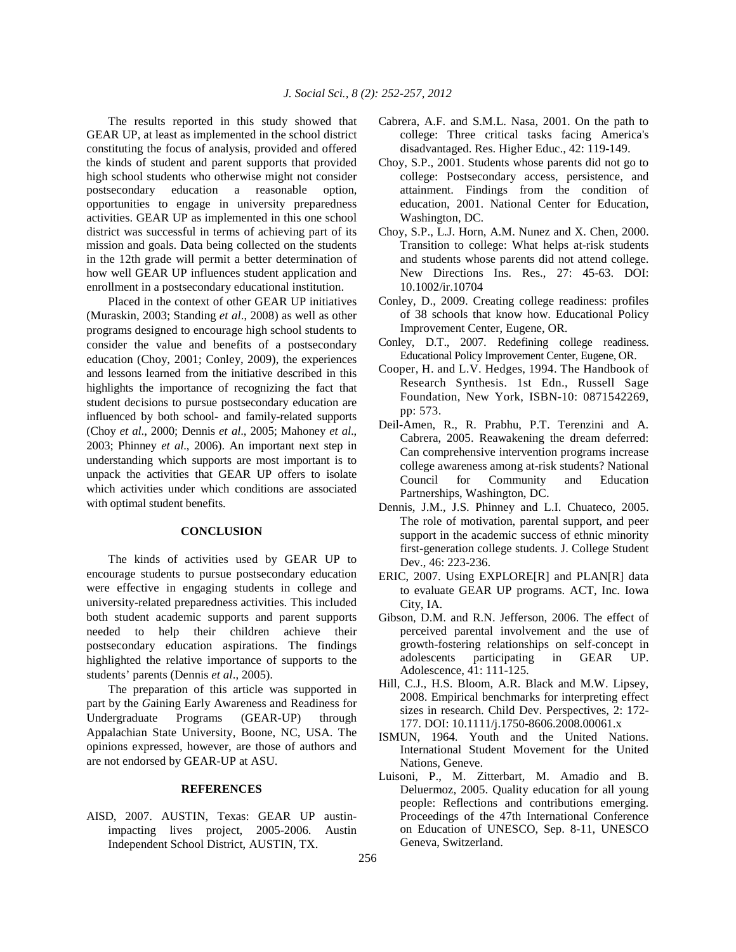The results reported in this study showed that GEAR UP, at least as implemented in the school district constituting the focus of analysis, provided and offered the kinds of student and parent supports that provided high school students who otherwise might not consider postsecondary education a reasonable option, opportunities to engage in university preparedness activities. GEAR UP as implemented in this one school district was successful in terms of achieving part of its mission and goals. Data being collected on the students in the 12th grade will permit a better determination of how well GEAR UP influences student application and enrollment in a postsecondary educational institution.

 Placed in the context of other GEAR UP initiatives (Muraskin, 2003; Standing *et al*., 2008) as well as other programs designed to encourage high school students to consider the value and benefits of a postsecondary education (Choy, 2001; Conley, 2009), the experiences and lessons learned from the initiative described in this highlights the importance of recognizing the fact that student decisions to pursue postsecondary education are influenced by both school- and family-related supports (Choy *et al*., 2000; Dennis *et al*., 2005; Mahoney *et al*., 2003; Phinney *et al*., 2006). An important next step in understanding which supports are most important is to unpack the activities that GEAR UP offers to isolate which activities under which conditions are associated with optimal student benefits.

## **CONCLUSION**

 The kinds of activities used by GEAR UP to encourage students to pursue postsecondary education were effective in engaging students in college and university-related preparedness activities. This included both student academic supports and parent supports needed to help their children achieve their postsecondary education aspirations. The findings highlighted the relative importance of supports to the students' parents (Dennis *et al*., 2005).

 The preparation of this article was supported in part by the *G*aining Early Awareness and Readiness for Undergraduate Programs (GEAR-UP) through Appalachian State University, Boone, NC, USA. The opinions expressed, however, are those of authors and are not endorsed by GEAR-UP at ASU.

#### **REFERENCES**

AISD, 2007. AUSTIN, Texas: GEAR UP austinimpacting lives project, 2005-2006. Austin Independent School District, AUSTIN, TX.

- Cabrera, A.F. and S.M.L. Nasa, 2001. On the path to college: Three critical tasks facing America's disadvantaged. Res. Higher Educ., 42: 119-149.
- Choy, S.P., 2001. Students whose parents did not go to college: Postsecondary access, persistence, and attainment. Findings from the condition of education, 2001. National Center for Education, Washington, DC.
- Choy, S.P., L.J. Horn, A.M. Nunez and X. Chen, 2000. Transition to college: What helps at-risk students and students whose parents did not attend college. New Directions Ins. Res., 27: 45-63. DOI: 10.1002/ir.10704
- Conley, D., 2009. Creating college readiness: profiles of 38 schools that know how. Educational Policy Improvement Center, Eugene, OR.
- Conley, D.T., 2007. Redefining college readiness. Educational Policy Improvement Center, Eugene, OR.
- Cooper, H. and L.V. Hedges, 1994. The Handbook of Research Synthesis. 1st Edn., Russell Sage Foundation, New York, ISBN-10: 0871542269, pp: 573.
- Deil-Amen, R., R. Prabhu, P.T. Terenzini and A. Cabrera, 2005. Reawakening the dream deferred: Can comprehensive intervention programs increase college awareness among at-risk students? National Council for Community and Education Partnerships, Washington, DC.
- Dennis, J.M., J.S. Phinney and L.I. Chuateco, 2005. The role of motivation, parental support, and peer support in the academic success of ethnic minority first-generation college students. J. College Student Dev., 46: 223-236.
- ERIC, 2007. Using EXPLORE[R] and PLAN[R] data to evaluate GEAR UP programs. ACT, Inc. Iowa City, IA.
- Gibson, D.M. and R.N. Jefferson, 2006. The effect of perceived parental involvement and the use of growth-fostering relationships on self-concept in adolescents participating in GEAR UP. Adolescence, 41: 111-125.
- Hill, C.J., H.S. Bloom, A.R. Black and M.W. Lipsey, 2008. Empirical benchmarks for interpreting effect sizes in research. Child Dev. Perspectives, 2: 172- 177. DOI: 10.1111/j.1750-8606.2008.00061.x
- ISMUN, 1964. Youth and the United Nations. International Student Movement for the United Nations, Geneve.
- Luisoni, P., M. Zitterbart, M. Amadio and B. Deluermoz, 2005. Quality education for all young people: Reflections and contributions emerging. Proceedings of the 47th International Conference on Education of UNESCO, Sep. 8-11, UNESCO Geneva, Switzerland.